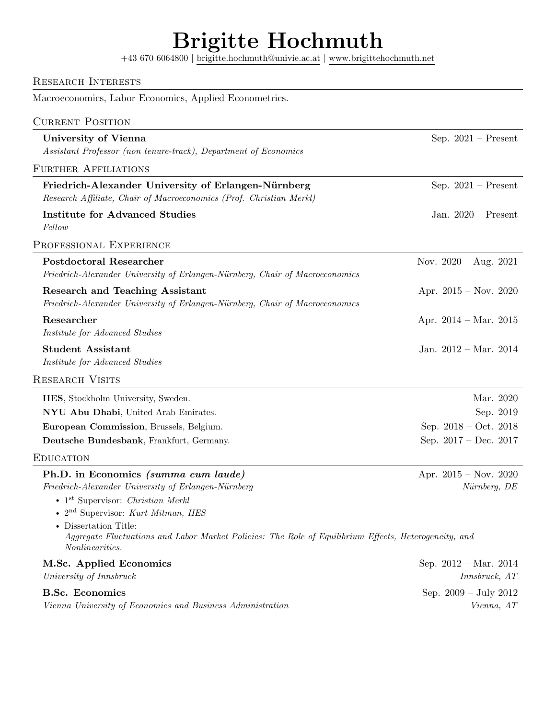# Brigitte Hochmuth

+43 670 6064800 | [brigitte.hochmuth@univie.ac.at](mailto:brigitte.hochmuth@univie.at) | [www.brigittehochmuth.net](https://www.brigittehochmuth.net)

| <b>RESEARCH INTERESTS</b>                                                                                                                                                                                      |                                                  |
|----------------------------------------------------------------------------------------------------------------------------------------------------------------------------------------------------------------|--------------------------------------------------|
| Macroeconomics, Labor Economics, Applied Econometrics.                                                                                                                                                         |                                                  |
| <b>CURRENT POSITION</b>                                                                                                                                                                                        |                                                  |
| <b>University of Vienna</b>                                                                                                                                                                                    | Sep. $2021$ – Present                            |
| Assistant Professor (non tenure-track), Department of Economics                                                                                                                                                |                                                  |
| <b>FURTHER AFFILIATIONS</b>                                                                                                                                                                                    |                                                  |
| Friedrich-Alexander University of Erlangen-Nürnberg<br>Research Affiliate, Chair of Macroeconomics (Prof. Christian Merkl)                                                                                     | Sep. $2021$ – Present                            |
| <b>Institute for Advanced Studies</b><br>Fellow                                                                                                                                                                | Jan. $2020$ – Present                            |
| PROFESSIONAL EXPERIENCE                                                                                                                                                                                        |                                                  |
| <b>Postdoctoral Researcher</b><br>Friedrich-Alexander University of Erlangen-Nürnberg, Chair of Macroeconomics                                                                                                 | Nov. $2020 - Aug. 2021$                          |
| <b>Research and Teaching Assistant</b><br>Friedrich-Alexander University of Erlangen-Nürnberg, Chair of Macroeconomics                                                                                         | Apr. $2015 - Nov. 2020$                          |
| Researcher<br>Institute for Advanced Studies                                                                                                                                                                   | Apr. $2014 - \text{Mar. } 2015$                  |
| <b>Student Assistant</b><br>Institute for Advanced Studies                                                                                                                                                     | Jan. $2012 - Mar.$ $2014$                        |
| <b>RESEARCH VISITS</b>                                                                                                                                                                                         |                                                  |
| IIES, Stockholm University, Sweden.                                                                                                                                                                            | Mar. 2020                                        |
| NYU Abu Dhabi, United Arab Emirates.                                                                                                                                                                           | Sep. 2019                                        |
| European Commission, Brussels, Belgium.                                                                                                                                                                        | Sep. $2018 - Oct. 2018$                          |
| Deutsche Bundesbank, Frankfurt, Germany.                                                                                                                                                                       | Sep. $2017 - Dec. 2017$                          |
| <b>EDUCATION</b>                                                                                                                                                                                               |                                                  |
| Ph.D. in Economics (summa cum laude)<br>Friedrich-Alexander University of Erlangen-Nürnberg<br>$\bullet$ 1 <sup>st</sup> Supervisor: <i>Christian Merkl</i><br>· 2 <sup>nd</sup> Supervisor: Kurt Mitman, IIES | Apr. $2015 - Nov. 2020$<br>Nürnberg, DE          |
| • Dissertation Title:<br>Aggregate Fluctuations and Labor Market Policies: The Role of Equilibrium Effects, Heterogeneity, and<br>Nonlinearities.                                                              |                                                  |
| M.Sc. Applied Economics<br>$\label{eq:university} University\ of\ Innsbruck$                                                                                                                                   | Sep. $2012 - \text{Mar. } 2014$<br>Innsbruck, AT |
| <b>B.Sc. Economics</b><br>Vienna University of Economics and Business Administration                                                                                                                           | Sep. $2009 - July 2012$<br>Vienna, AT            |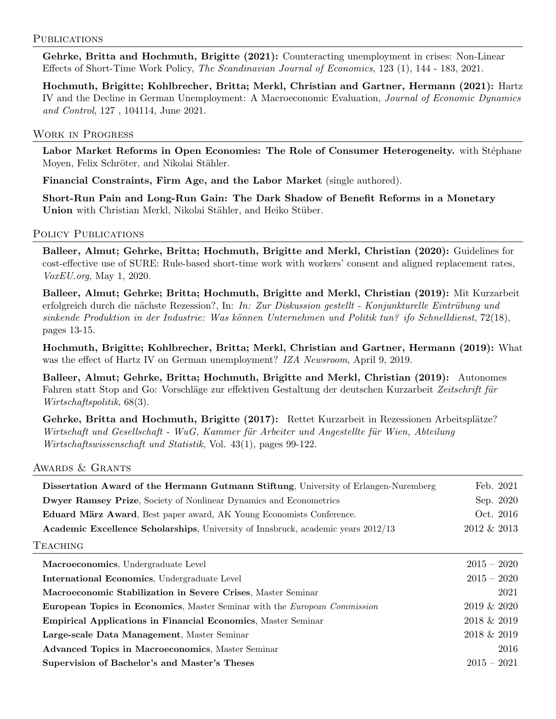### PUBLICATIONS

Gehrke, Britta and Hochmuth, Brigitte (2021): Counteracting unemployment in crises: Non-Linear Effects of Short-Time Work Policy, The Scandinavian Journal of Economics, 123 (1), 144 - 183, 2021.

Hochmuth, Brigitte; Kohlbrecher, Britta; Merkl, Christian and Gartner, Hermann (2021): Hartz IV and the Decline in German Unemployment: A Macroeconomic Evaluation, Journal of Economic Dynamics and Control, 127 , 104114, June 2021.

## Work in Progress

Labor Market Reforms in Open Economies: The Role of Consumer Heterogeneity. with Stéphane Moyen, Felix Schröter, and Nikolai Stähler.

Financial Constraints, Firm Age, and the Labor Market (single authored).

Short-Run Pain and Long-Run Gain: The Dark Shadow of Benefit Reforms in a Monetary Union with Christian Merkl, Nikolai Stähler, and Heiko Stüber.

## POLICY PUBLICATIONS

Balleer, Almut; Gehrke, Britta; Hochmuth, Brigitte and Merkl, Christian (2020): Guidelines for cost-effective use of SURE: Rule-based short-time work with workers' consent and aligned replacement rates, VoxEU.org, May 1, 2020.

Balleer, Almut; Gehrke; Britta; Hochmuth, Brigitte and Merkl, Christian (2019): Mit Kurzarbeit erfolgreich durch die nächste Rezession?, In: In: Zur Diskussion gestellt - Konjunkturelle Eintrübung und  $sinkende$  Produktion in der Industrie: Was können Unternehmen und Politik tun? ifo Schnelldienst, 72(18), pages 13-15.

Hochmuth, Brigitte; Kohlbrecher, Britta; Merkl, Christian and Gartner, Hermann (2019): What was the effect of Hartz IV on German unemployment? IZA Newsroom, April 9, 2019.

Balleer, Almut; Gehrke, Britta; Hochmuth, Brigitte and Merkl, Christian (2019): Autonomes Fahren statt Stop and Go: Vorschläge zur effektiven Gestaltung der deutschen Kurzarbeit Zeitschrift für Wirtschaftspolitik, 68(3).

Gehrke, Britta and Hochmuth, Brigitte (2017): Rettet Kurzarbeit in Rezessionen Arbeitsplätze? Wirtschaft und Gesellschaft - WuG, Kammer für Arbeiter und Angestellte für Wien, Abteilung Wirtschaftswissenschaft und Statistik, Vol. 43(1), pages 99-122.

### Awards & Grants

| Dissertation Award of the Hermann Gutmann Stiftung, University of Erlangen-Nuremberg | Feb. 2021      |
|--------------------------------------------------------------------------------------|----------------|
| Dwyer Ramsey Prize, Society of Nonlinear Dynamics and Econometrics                   | Sep. 2020      |
| <b>Eduard März Award</b> , Best paper award, AK Young Economists Conference.         | Oct. 2016      |
| Academic Excellence Scholarships, University of Innsbruck, academic years 2012/13    | 2012 & 2013    |
| TEACHING                                                                             |                |
| Macroeconomics, Undergraduate Level                                                  | $2015 - 2020$  |
| International Economics, Undergraduate Level                                         | $2015 - 2020$  |
| Macroeconomic Stabilization in Severe Crises, Master Seminar                         | 2021           |
| <b>European Topics in Economics, Master Seminar with the European Commission</b>     | $2019 \& 2020$ |
| <b>Empirical Applications in Financial Economics, Master Seminar</b>                 | $2018 \& 2019$ |
| Large-scale Data Management, Master Seminar                                          | $2018 \& 2019$ |
| Advanced Topics in Macroeconomics, Master Seminar                                    | 2016           |
| Supervision of Bachelor's and Master's Theses                                        | $2015 - 2021$  |